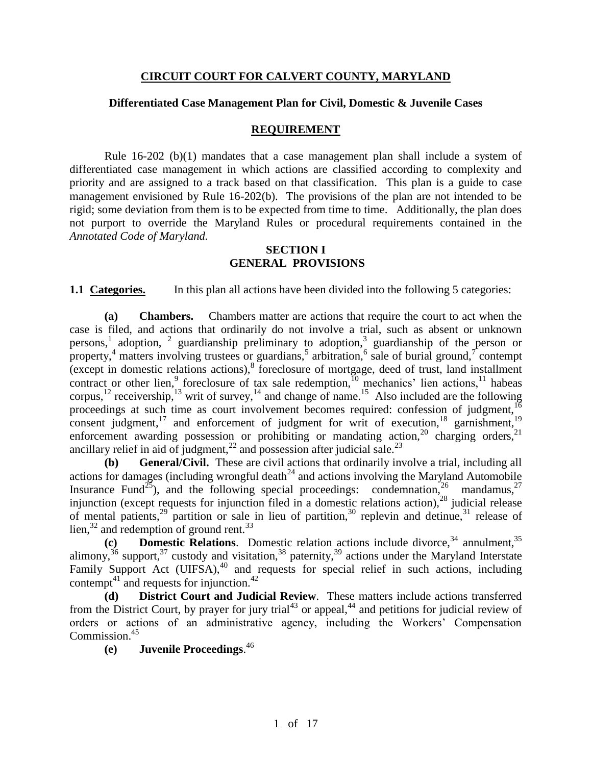### **CIRCUIT COURT FOR CALVERT COUNTY, MARYLAND**

### **Differentiated Case Management Plan for Civil, Domestic & Juvenile Cases**

#### **REQUIREMENT**

Rule  $16-202$  (b)(1) mandates that a case management plan shall include a system of differentiated case management in which actions are classified according to complexity and priority and are assigned to a track based on that classification. This plan is a guide to case management envisioned by Rule 16-202(b). The provisions of the plan are not intended to be rigid; some deviation from them is to be expected from time to time. Additionally, the plan does not purport to override the Maryland Rules or procedural requirements contained in the *Annotated Code of Maryland.*

#### **SECTION I GENERAL PROVISIONS**

**1.1 Categories.** In this plan all actions have been divided into the following 5 categories:

**(a) Chambers.** Chambers matter are actions that require the court to act when the case is filed, and actions that ordinarily do not involve a trial, such as absent or unknown persons,<sup>1</sup> adoption, <sup>2</sup> guardianship preliminary to adoption,<sup>3</sup> guardianship of the person or property,<sup>4</sup> matters involving trustees or guardians,<sup>5</sup> arbitration,<sup>6</sup> sale of burial ground,<sup>7</sup> contempt  $(\text{except in domestic relations actions})$ , foreclosure of mortgage, deed of trust, land installment contract or other lien,<sup>9</sup> foreclosure of tax sale redemption,<sup>10</sup> mechanics' lien actions,<sup>11</sup> habeas corpus,<sup>12</sup> receivership,<sup>13</sup> writ of survey,<sup>14</sup> and change of name.<sup>15</sup> Also included are the following proceedings at such time as court involvement becomes required: confession of judgment,<sup>16</sup> consent judgment,<sup>17</sup> and enforcement of judgment for writ of execution,<sup>18</sup> garnishment,<sup>19</sup> enforcement awarding possession or prohibiting or mandating action,  $20$  charging orders,  $21$ ancillary relief in aid of judgment,<sup>22</sup> and possession after judicial sale.<sup>23</sup>

**(b) General/Civil.** These are civil actions that ordinarily involve a trial, including all actions for damages (including wrongful death<sup>24</sup> and actions involving the Maryland Automobile Insurance Fund<sup>25</sup>), and the following special proceedings: condemnation,  $2^6$  mandamus,  $2^7$ injunction (except requests for injunction filed in a domestic relations action),  $28$  judicial release of mental patients,<sup>29</sup> partition or sale in lieu of partition,<sup>30</sup> replevin and detinue, $31$  release of lien, $32$  and redemption of ground rent.<sup>33</sup>

(c) **Domestic Relations**. Domestic relation actions include divorce,<sup>34</sup> annulment,<sup>35</sup> alimony,<sup>36</sup> support,<sup>37</sup> custody and visitation,<sup>38</sup> paternity,<sup>39</sup> actions under the Maryland Interstate Family Support Act  $(UIFSA)$ ,<sup>40</sup> and requests for special relief in such actions, including contempt<sup>41</sup> and requests for injunction.<sup>42</sup>

**(d) District Court and Judicial Review**. These matters include actions transferred from the District Court, by prayer for jury trial<sup>43</sup> or appeal,<sup>44</sup> and petitions for judicial review of orders or actions of an administrative agency, including the Workers' Compensation Commission.<sup>45</sup>

**(e) Juvenile Proceedings**. 46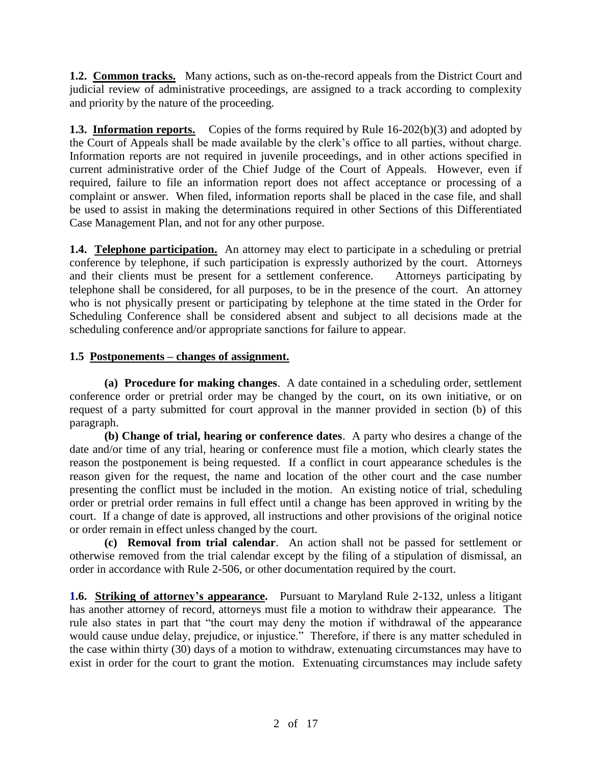**1.2. Common tracks.** Many actions, such as on-the-record appeals from the District Court and judicial review of administrative proceedings, are assigned to a track according to complexity and priority by the nature of the proceeding.

**1.3. Information reports.** Copies of the forms required by Rule 16-202(b)(3) and adopted by the Court of Appeals shall be made available by the clerk's office to all parties, without charge. Information reports are not required in juvenile proceedings, and in other actions specified in current administrative order of the Chief Judge of the Court of Appeals. However, even if required, failure to file an information report does not affect acceptance or processing of a complaint or answer. When filed, information reports shall be placed in the case file, and shall be used to assist in making the determinations required in other Sections of this Differentiated Case Management Plan, and not for any other purpose.

**1.4. Telephone participation.** An attorney may elect to participate in a scheduling or pretrial conference by telephone, if such participation is expressly authorized by the court. Attorneys and their clients must be present for a settlement conference. Attorneys participating by telephone shall be considered, for all purposes, to be in the presence of the court. An attorney who is not physically present or participating by telephone at the time stated in the Order for Scheduling Conference shall be considered absent and subject to all decisions made at the scheduling conference and/or appropriate sanctions for failure to appear.

# **1.5 Postponements – changes of assignment.**

**(a) Procedure for making changes**. A date contained in a scheduling order, settlement conference order or pretrial order may be changed by the court, on its own initiative, or on request of a party submitted for court approval in the manner provided in section (b) of this paragraph.

**(b) Change of trial, hearing or conference dates**. A party who desires a change of the date and/or time of any trial, hearing or conference must file a motion, which clearly states the reason the postponement is being requested. If a conflict in court appearance schedules is the reason given for the request, the name and location of the other court and the case number presenting the conflict must be included in the motion. An existing notice of trial, scheduling order or pretrial order remains in full effect until a change has been approved in writing by the court. If a change of date is approved, all instructions and other provisions of the original notice or order remain in effect unless changed by the court.

**(c) Removal from trial calendar**. An action shall not be passed for settlement or otherwise removed from the trial calendar except by the filing of a stipulation of dismissal, an order in accordance with Rule 2-506, or other documentation required by the court.

**1.6. Striking of attorney's appearance.** Pursuant to Maryland Rule 2-132, unless a litigant has another attorney of record, attorneys must file a motion to withdraw their appearance. The rule also states in part that "the court may deny the motion if withdrawal of the appearance would cause undue delay, prejudice, or injustice." Therefore, if there is any matter scheduled in the case within thirty (30) days of a motion to withdraw, extenuating circumstances may have to exist in order for the court to grant the motion. Extenuating circumstances may include safety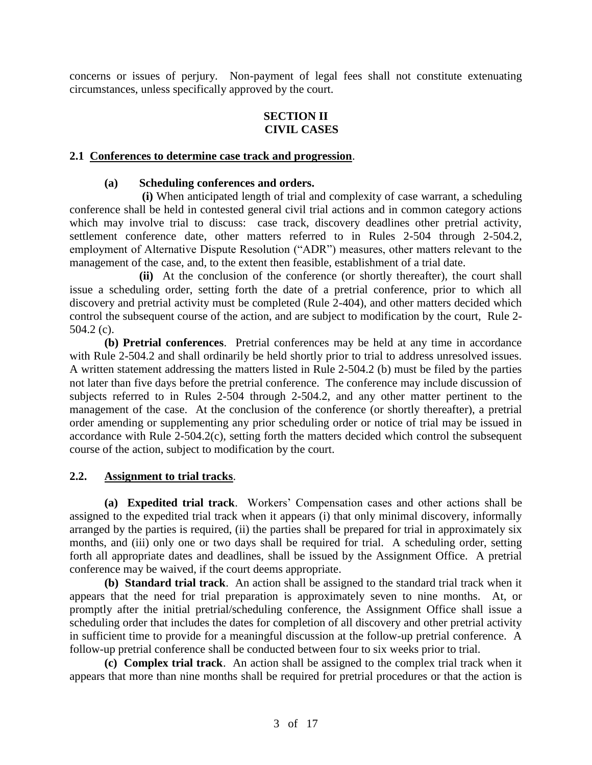concerns or issues of perjury. Non-payment of legal fees shall not constitute extenuating circumstances, unless specifically approved by the court.

## **SECTION II CIVIL CASES**

### **2.1 Conferences to determine case track and progression**.

#### **(a) Scheduling conferences and orders.**

**(i)** When anticipated length of trial and complexity of case warrant, a scheduling conference shall be held in contested general civil trial actions and in common category actions which may involve trial to discuss: case track, discovery deadlines other pretrial activity, settlement conference date, other matters referred to in Rules 2-504 through 2-504.2, employment of Alternative Dispute Resolution ("ADR") measures, other matters relevant to the management of the case, and, to the extent then feasible, establishment of a trial date.

**(ii)** At the conclusion of the conference (or shortly thereafter), the court shall issue a scheduling order, setting forth the date of a pretrial conference, prior to which all discovery and pretrial activity must be completed (Rule 2-404), and other matters decided which control the subsequent course of the action, and are subject to modification by the court, Rule 2- 504.2 (c).

**(b) Pretrial conferences**. Pretrial conferences may be held at any time in accordance with Rule 2-504.2 and shall ordinarily be held shortly prior to trial to address unresolved issues. A written statement addressing the matters listed in Rule 2-504.2 (b) must be filed by the parties not later than five days before the pretrial conference. The conference may include discussion of subjects referred to in Rules 2-504 through 2-504.2, and any other matter pertinent to the management of the case. At the conclusion of the conference (or shortly thereafter), a pretrial order amending or supplementing any prior scheduling order or notice of trial may be issued in accordance with Rule 2-504.2(c), setting forth the matters decided which control the subsequent course of the action, subject to modification by the court.

### **2.2. Assignment to trial tracks**.

**(a) Expedited trial track**. Workers' Compensation cases and other actions shall be assigned to the expedited trial track when it appears (i) that only minimal discovery, informally arranged by the parties is required, (ii) the parties shall be prepared for trial in approximately six months, and (iii) only one or two days shall be required for trial. A scheduling order, setting forth all appropriate dates and deadlines, shall be issued by the Assignment Office. A pretrial conference may be waived, if the court deems appropriate.

**(b) Standard trial track**. An action shall be assigned to the standard trial track when it appears that the need for trial preparation is approximately seven to nine months. At, or promptly after the initial pretrial/scheduling conference, the Assignment Office shall issue a scheduling order that includes the dates for completion of all discovery and other pretrial activity in sufficient time to provide for a meaningful discussion at the follow-up pretrial conference. A follow-up pretrial conference shall be conducted between four to six weeks prior to trial.

**(c) Complex trial track**. An action shall be assigned to the complex trial track when it appears that more than nine months shall be required for pretrial procedures or that the action is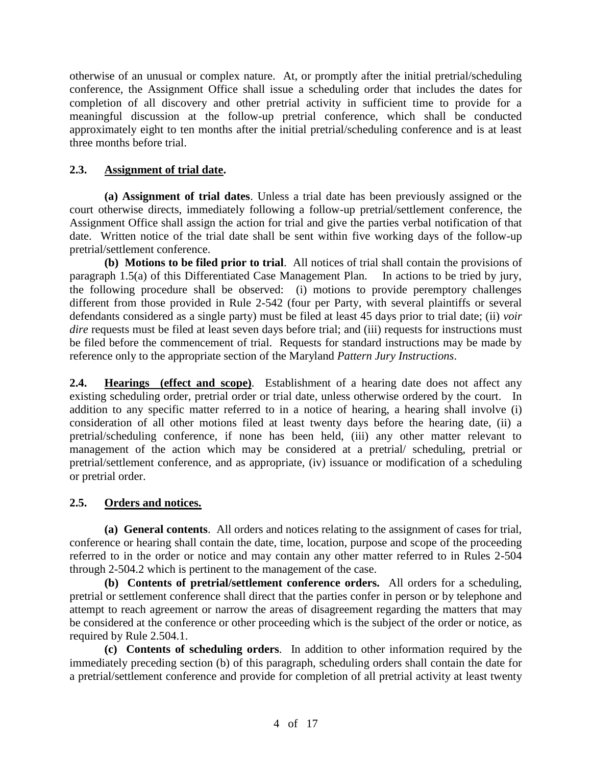otherwise of an unusual or complex nature. At, or promptly after the initial pretrial/scheduling conference, the Assignment Office shall issue a scheduling order that includes the dates for completion of all discovery and other pretrial activity in sufficient time to provide for a meaningful discussion at the follow-up pretrial conference, which shall be conducted approximately eight to ten months after the initial pretrial/scheduling conference and is at least three months before trial.

# **2.3. Assignment of trial date.**

**(a) Assignment of trial dates**. Unless a trial date has been previously assigned or the court otherwise directs, immediately following a follow-up pretrial/settlement conference, the Assignment Office shall assign the action for trial and give the parties verbal notification of that date. Written notice of the trial date shall be sent within five working days of the follow-up pretrial/settlement conference.

**(b) Motions to be filed prior to trial**. All notices of trial shall contain the provisions of paragraph 1.5(a) of this Differentiated Case Management Plan. In actions to be tried by jury, the following procedure shall be observed: (i) motions to provide peremptory challenges different from those provided in Rule 2-542 (four per Party, with several plaintiffs or several defendants considered as a single party) must be filed at least 45 days prior to trial date; (ii) *voir dire* requests must be filed at least seven days before trial; and (iii) requests for instructions must be filed before the commencement of trial. Requests for standard instructions may be made by reference only to the appropriate section of the Maryland *Pattern Jury Instructions*.

**2.4. Hearings (effect and scope)**. Establishment of a hearing date does not affect any existing scheduling order, pretrial order or trial date, unless otherwise ordered by the court. In addition to any specific matter referred to in a notice of hearing, a hearing shall involve (i) consideration of all other motions filed at least twenty days before the hearing date, (ii) a pretrial/scheduling conference, if none has been held, (iii) any other matter relevant to management of the action which may be considered at a pretrial/ scheduling, pretrial or pretrial/settlement conference, and as appropriate, (iv) issuance or modification of a scheduling or pretrial order.

# **2.5. Orders and notices.**

**(a) General contents**. All orders and notices relating to the assignment of cases for trial, conference or hearing shall contain the date, time, location, purpose and scope of the proceeding referred to in the order or notice and may contain any other matter referred to in Rules 2-504 through 2-504.2 which is pertinent to the management of the case.

**(b) Contents of pretrial/settlement conference orders.** All orders for a scheduling, pretrial or settlement conference shall direct that the parties confer in person or by telephone and attempt to reach agreement or narrow the areas of disagreement regarding the matters that may be considered at the conference or other proceeding which is the subject of the order or notice, as required by Rule 2.504.1.

**(c) Contents of scheduling orders**. In addition to other information required by the immediately preceding section (b) of this paragraph, scheduling orders shall contain the date for a pretrial/settlement conference and provide for completion of all pretrial activity at least twenty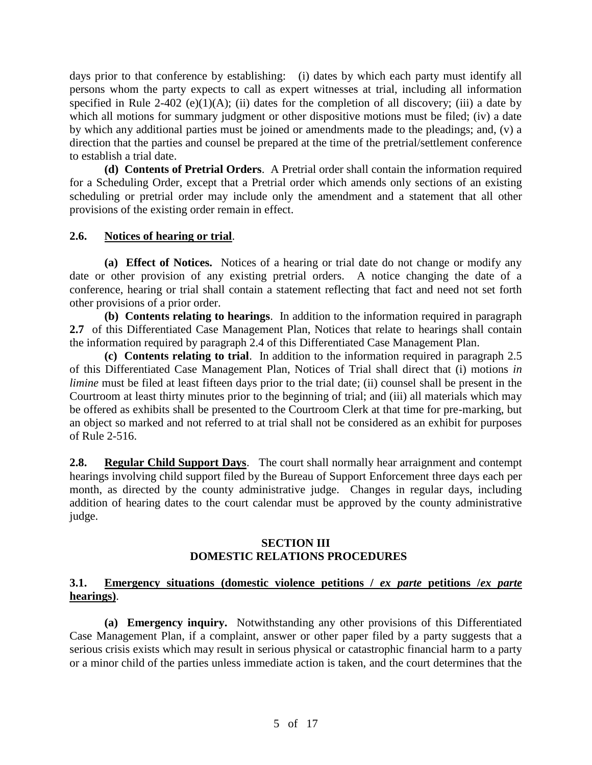days prior to that conference by establishing: (i) dates by which each party must identify all persons whom the party expects to call as expert witnesses at trial, including all information specified in Rule 2-402 (e)(1)(A); (ii) dates for the completion of all discovery; (iii) a date by which all motions for summary judgment or other dispositive motions must be filed; (iv) a date by which any additional parties must be joined or amendments made to the pleadings; and, (v) a direction that the parties and counsel be prepared at the time of the pretrial/settlement conference to establish a trial date.

**(d) Contents of Pretrial Orders**. A Pretrial order shall contain the information required for a Scheduling Order, except that a Pretrial order which amends only sections of an existing scheduling or pretrial order may include only the amendment and a statement that all other provisions of the existing order remain in effect.

### **2.6. Notices of hearing or trial**.

**(a) Effect of Notices.** Notices of a hearing or trial date do not change or modify any date or other provision of any existing pretrial orders. A notice changing the date of a conference, hearing or trial shall contain a statement reflecting that fact and need not set forth other provisions of a prior order.

**(b) Contents relating to hearings**. In addition to the information required in paragraph **2.7** of this Differentiated Case Management Plan, Notices that relate to hearings shall contain the information required by paragraph 2.4 of this Differentiated Case Management Plan.

**(c) Contents relating to trial**. In addition to the information required in paragraph 2.5 of this Differentiated Case Management Plan, Notices of Trial shall direct that (i) motions *in limine* must be filed at least fifteen days prior to the trial date; (ii) counsel shall be present in the Courtroom at least thirty minutes prior to the beginning of trial; and (iii) all materials which may be offered as exhibits shall be presented to the Courtroom Clerk at that time for pre-marking, but an object so marked and not referred to at trial shall not be considered as an exhibit for purposes of Rule 2-516.

**2.8. Regular Child Support Days**. The court shall normally hear arraignment and contempt hearings involving child support filed by the Bureau of Support Enforcement three days each per month, as directed by the county administrative judge. Changes in regular days, including addition of hearing dates to the court calendar must be approved by the county administrative judge.

### **SECTION III DOMESTIC RELATIONS PROCEDURES**

## **3.1. Emergency situations (domestic violence petitions /** *ex parte* **petitions /***ex parte* **hearings)**.

**(a) Emergency inquiry.** Notwithstanding any other provisions of this Differentiated Case Management Plan, if a complaint, answer or other paper filed by a party suggests that a serious crisis exists which may result in serious physical or catastrophic financial harm to a party or a minor child of the parties unless immediate action is taken, and the court determines that the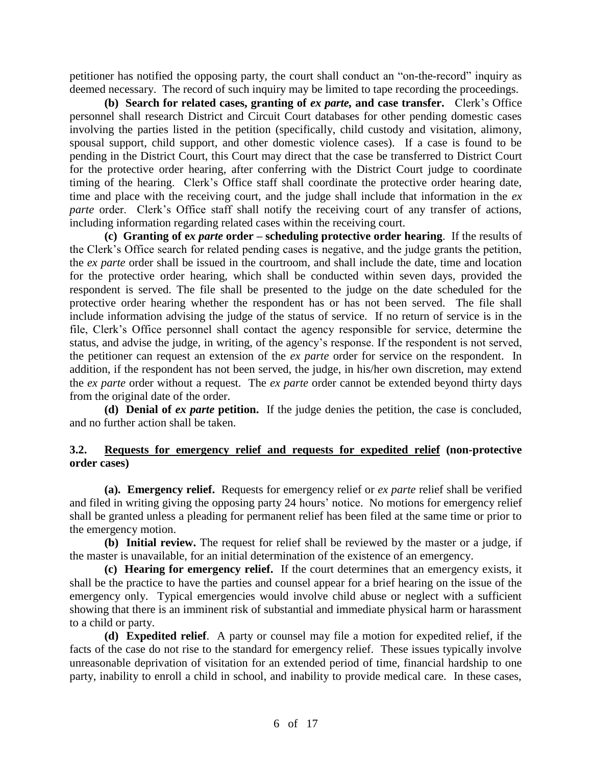petitioner has notified the opposing party, the court shall conduct an "on-the-record" inquiry as deemed necessary. The record of such inquiry may be limited to tape recording the proceedings.

**(b) Search for related cases, granting of** *ex parte,* **and case transfer.**Clerk's Office personnel shall research District and Circuit Court databases for other pending domestic cases involving the parties listed in the petition (specifically, child custody and visitation, alimony, spousal support, child support, and other domestic violence cases). If a case is found to be pending in the District Court, this Court may direct that the case be transferred to District Court for the protective order hearing, after conferring with the District Court judge to coordinate timing of the hearing. Clerk's Office staff shall coordinate the protective order hearing date, time and place with the receiving court, and the judge shall include that information in the *ex parte* order. Clerk's Office staff shall notify the receiving court of any transfer of actions, including information regarding related cases within the receiving court.

**(c) Granting of e***x parte* **order – scheduling protective order hearing**. If the results of the Clerk's Office search for related pending cases is negative, and the judge grants the petition, the *ex parte* order shall be issued in the courtroom, and shall include the date, time and location for the protective order hearing, which shall be conducted within seven days, provided the respondent is served. The file shall be presented to the judge on the date scheduled for the protective order hearing whether the respondent has or has not been served. The file shall include information advising the judge of the status of service. If no return of service is in the file, Clerk's Office personnel shall contact the agency responsible for service, determine the status, and advise the judge, in writing, of the agency's response. If the respondent is not served, the petitioner can request an extension of the *ex parte* order for service on the respondent. In addition, if the respondent has not been served, the judge, in his/her own discretion, may extend the *ex parte* order without a request. The *ex parte* order cannot be extended beyond thirty days from the original date of the order.

**(d) Denial of** *ex parte* **petition.** If the judge denies the petition, the case is concluded, and no further action shall be taken.

## **3.2. Requests for emergency relief and requests for expedited relief (non-protective order cases)**

**(a). Emergency relief.** Requests for emergency relief or *ex parte* relief shall be verified and filed in writing giving the opposing party 24 hours' notice. No motions for emergency relief shall be granted unless a pleading for permanent relief has been filed at the same time or prior to the emergency motion.

**(b) Initial review.** The request for relief shall be reviewed by the master or a judge, if the master is unavailable, for an initial determination of the existence of an emergency.

**(c) Hearing for emergency relief.** If the court determines that an emergency exists, it shall be the practice to have the parties and counsel appear for a brief hearing on the issue of the emergency only. Typical emergencies would involve child abuse or neglect with a sufficient showing that there is an imminent risk of substantial and immediate physical harm or harassment to a child or party.

**(d) Expedited relief**. A party or counsel may file a motion for expedited relief, if the facts of the case do not rise to the standard for emergency relief. These issues typically involve unreasonable deprivation of visitation for an extended period of time, financial hardship to one party, inability to enroll a child in school, and inability to provide medical care. In these cases,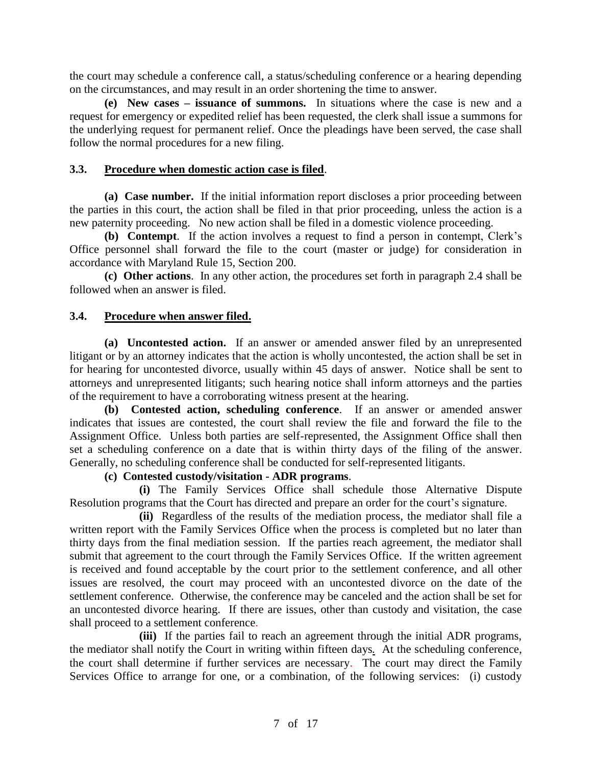the court may schedule a conference call, a status/scheduling conference or a hearing depending on the circumstances, and may result in an order shortening the time to answer.

**(e) New cases – issuance of summons.** In situations where the case is new and a request for emergency or expedited relief has been requested, the clerk shall issue a summons for the underlying request for permanent relief. Once the pleadings have been served, the case shall follow the normal procedures for a new filing.

## **3.3. Procedure when domestic action case is filed**.

**(a) Case number.** If the initial information report discloses a prior proceeding between the parties in this court, the action shall be filed in that prior proceeding, unless the action is a new paternity proceeding. No new action shall be filed in a domestic violence proceeding.

**(b) Contempt**. If the action involves a request to find a person in contempt, Clerk's Office personnel shall forward the file to the court (master or judge) for consideration in accordance with Maryland Rule 15, Section 200.

**(c) Other actions**. In any other action, the procedures set forth in paragraph 2.4 shall be followed when an answer is filed.

## **3.4. Procedure when answer filed.**

**(a) Uncontested action.** If an answer or amended answer filed by an unrepresented litigant or by an attorney indicates that the action is wholly uncontested, the action shall be set in for hearing for uncontested divorce, usually within 45 days of answer. Notice shall be sent to attorneys and unrepresented litigants; such hearing notice shall inform attorneys and the parties of the requirement to have a corroborating witness present at the hearing.

**(b) Contested action, scheduling conference**. If an answer or amended answer indicates that issues are contested, the court shall review the file and forward the file to the Assignment Office. Unless both parties are self-represented, the Assignment Office shall then set a scheduling conference on a date that is within thirty days of the filing of the answer. Generally, no scheduling conference shall be conducted for self-represented litigants.

## **(c) Contested custody/visitation - ADR programs**.

**(i)** The Family Services Office shall schedule those Alternative Dispute Resolution programs that the Court has directed and prepare an order for the court's signature.

**(ii)** Regardless of the results of the mediation process, the mediator shall file a written report with the Family Services Office when the process is completed but no later than thirty days from the final mediation session. If the parties reach agreement, the mediator shall submit that agreement to the court through the Family Services Office. If the written agreement is received and found acceptable by the court prior to the settlement conference, and all other issues are resolved, the court may proceed with an uncontested divorce on the date of the settlement conference. Otherwise, the conference may be canceled and the action shall be set for an uncontested divorce hearing. If there are issues, other than custody and visitation, the case shall proceed to a settlement conference.

**(iii)**If the parties fail to reach an agreement through the initial ADR programs, the mediator shall notify the Court in writing within fifteen days*.* At the scheduling conference, the court shall determine if further services are necessary. The court may direct the Family Services Office to arrange for one, or a combination, of the following services: (i) custody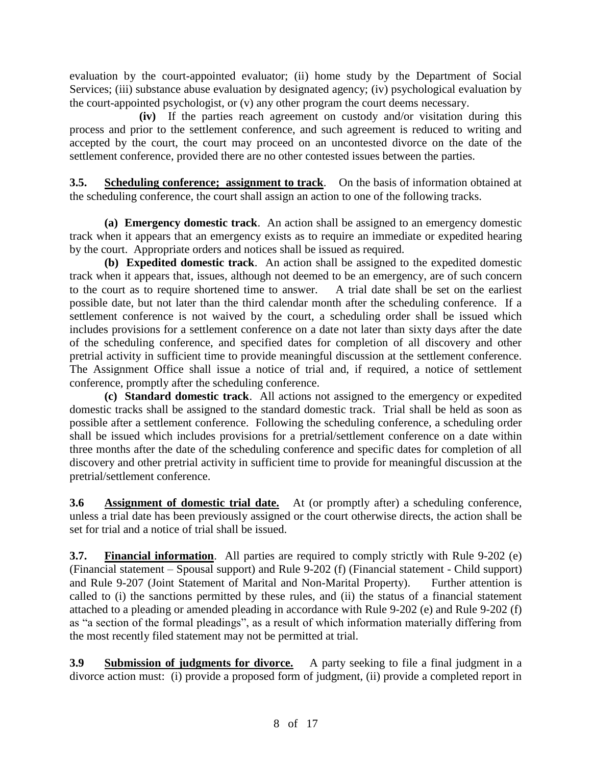evaluation by the court-appointed evaluator; (ii) home study by the Department of Social Services; (iii) substance abuse evaluation by designated agency; (iv) psychological evaluation by the court-appointed psychologist, or (v) any other program the court deems necessary.

**(iv)**If the parties reach agreement on custody and/or visitation during this process and prior to the settlement conference, and such agreement is reduced to writing and accepted by the court, the court may proceed on an uncontested divorce on the date of the settlement conference, provided there are no other contested issues between the parties.

**3.5. Scheduling conference; assignment to track**. On the basis of information obtained at the scheduling conference, the court shall assign an action to one of the following tracks.

**(a) Emergency domestic track**. An action shall be assigned to an emergency domestic track when it appears that an emergency exists as to require an immediate or expedited hearing by the court. Appropriate orders and notices shall be issued as required.

**(b) Expedited domestic track**. An action shall be assigned to the expedited domestic track when it appears that, issues, although not deemed to be an emergency, are of such concern to the court as to require shortened time to answer. A trial date shall be set on the earliest possible date, but not later than the third calendar month after the scheduling conference. If a settlement conference is not waived by the court, a scheduling order shall be issued which includes provisions for a settlement conference on a date not later than sixty days after the date of the scheduling conference, and specified dates for completion of all discovery and other pretrial activity in sufficient time to provide meaningful discussion at the settlement conference. The Assignment Office shall issue a notice of trial and, if required, a notice of settlement conference, promptly after the scheduling conference.

**(c) Standard domestic track**. All actions not assigned to the emergency or expedited domestic tracks shall be assigned to the standard domestic track. Trial shall be held as soon as possible after a settlement conference. Following the scheduling conference, a scheduling order shall be issued which includes provisions for a pretrial/settlement conference on a date within three months after the date of the scheduling conference and specific dates for completion of all discovery and other pretrial activity in sufficient time to provide for meaningful discussion at the pretrial/settlement conference.

**3.6 Assignment of domestic trial date.** At (or promptly after) a scheduling conference, unless a trial date has been previously assigned or the court otherwise directs, the action shall be set for trial and a notice of trial shall be issued.

**3.7. Financial information**. All parties are required to comply strictly with Rule 9-202 (e) (Financial statement – Spousal support) and Rule 9-202 (f) (Financial statement - Child support) and Rule 9-207 (Joint Statement of Marital and Non-Marital Property). Further attention is called to (i) the sanctions permitted by these rules, and (ii) the status of a financial statement attached to a pleading or amended pleading in accordance with Rule 9-202 (e) and Rule 9-202 (f) as "a section of the formal pleadings", as a result of which information materially differing from the most recently filed statement may not be permitted at trial.

**3.9 Submission of judgments for divorce.** A party seeking to file a final judgment in a divorce action must: (i) provide a proposed form of judgment, (ii) provide a completed report in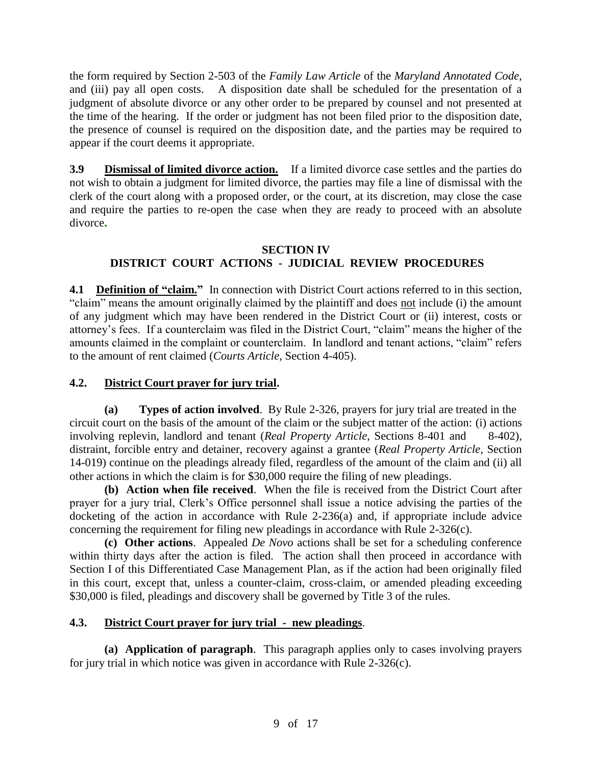the form required by Section 2-503 of the *Family Law Article* of the *Maryland Annotated Code*, and (iii) pay all open costs. A disposition date shall be scheduled for the presentation of a judgment of absolute divorce or any other order to be prepared by counsel and not presented at the time of the hearing. If the order or judgment has not been filed prior to the disposition date, the presence of counsel is required on the disposition date, and the parties may be required to appear if the court deems it appropriate.

**3.9 Dismissal of limited divorce action.** If a limited divorce case settles and the parties do not wish to obtain a judgment for limited divorce, the parties may file a line of dismissal with the clerk of the court along with a proposed order, or the court, at its discretion, may close the case and require the parties to re-open the case when they are ready to proceed with an absolute divorce**.** 

# **SECTION IV DISTRICT COURT ACTIONS - JUDICIAL REVIEW PROCEDURES**

**4.1** Definition of "claim." In connection with District Court actions referred to in this section, "claim" means the amount originally claimed by the plaintiff and does not include (i) the amount of any judgment which may have been rendered in the District Court or (ii) interest, costs or attorney's fees. If a counterclaim was filed in the District Court, "claim" means the higher of the amounts claimed in the complaint or counterclaim. In landlord and tenant actions, "claim" refers to the amount of rent claimed (*Courts Article*, Section 4-405).

# **4.2. District Court prayer for jury trial.**

**(a) Types of action involved**. By Rule 2-326, prayers for jury trial are treated in the circuit court on the basis of the amount of the claim or the subject matter of the action: (i) actions involving replevin, landlord and tenant (*Real Property Article*, Sections 8-401 and 8-402), distraint, forcible entry and detainer, recovery against a grantee (*Real Property Article*, Section 14-019) continue on the pleadings already filed, regardless of the amount of the claim and (ii) all other actions in which the claim is for \$30,000 require the filing of new pleadings.

**(b) Action when file received**. When the file is received from the District Court after prayer for a jury trial, Clerk's Office personnel shall issue a notice advising the parties of the docketing of the action in accordance with Rule 2-236(a) and, if appropriate include advice concerning the requirement for filing new pleadings in accordance with Rule 2-326(c).

**(c) Other actions**. Appealed *De Novo* actions shall be set for a scheduling conference within thirty days after the action is filed. The action shall then proceed in accordance with Section I of this Differentiated Case Management Plan, as if the action had been originally filed in this court, except that, unless a counter-claim, cross-claim, or amended pleading exceeding \$30,000 is filed, pleadings and discovery shall be governed by Title 3 of the rules.

# **4.3. District Court prayer for jury trial - new pleadings**.

**(a) Application of paragraph**. This paragraph applies only to cases involving prayers for jury trial in which notice was given in accordance with Rule 2-326(c).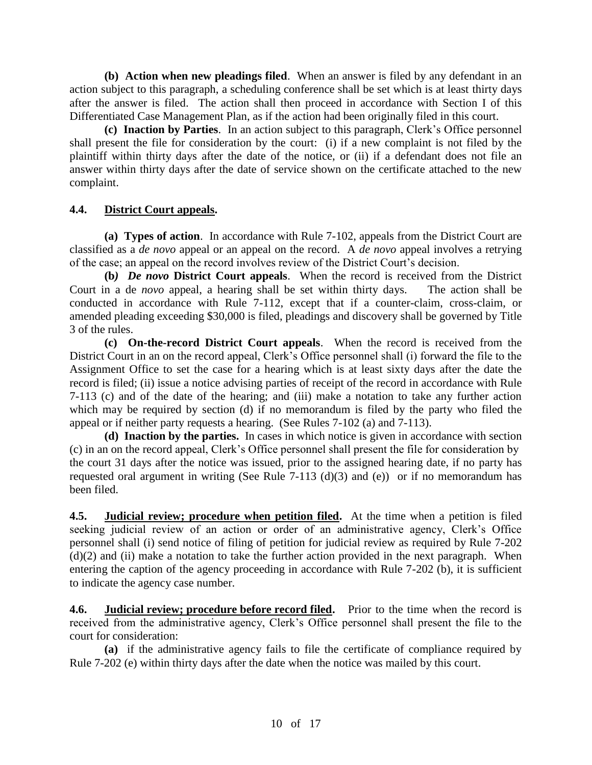**(b) Action when new pleadings filed**. When an answer is filed by any defendant in an action subject to this paragraph, a scheduling conference shall be set which is at least thirty days after the answer is filed. The action shall then proceed in accordance with Section I of this Differentiated Case Management Plan, as if the action had been originally filed in this court.

**(c) Inaction by Parties**. In an action subject to this paragraph, Clerk's Office personnel shall present the file for consideration by the court: (i) if a new complaint is not filed by the plaintiff within thirty days after the date of the notice, or (ii) if a defendant does not file an answer within thirty days after the date of service shown on the certificate attached to the new complaint.

# **4.4. District Court appeals.**

**(a) Types of action**. In accordance with Rule 7-102, appeals from the District Court are classified as a *de novo* appeal or an appeal on the record. A *de novo* appeal involves a retrying of the case; an appeal on the record involves review of the District Court's decision.

**(b***) De novo* **District Court appeals**. When the record is received from the District Court in a de *novo* appeal, a hearing shall be set within thirty days. The action shall be conducted in accordance with Rule 7-112, except that if a counter-claim, cross-claim, or amended pleading exceeding \$30,000 is filed, pleadings and discovery shall be governed by Title 3 of the rules.

**(c) On-the-record District Court appeals**. When the record is received from the District Court in an on the record appeal, Clerk's Office personnel shall (i) forward the file to the Assignment Office to set the case for a hearing which is at least sixty days after the date the record is filed; (ii) issue a notice advising parties of receipt of the record in accordance with Rule 7-113 (c) and of the date of the hearing; and (iii) make a notation to take any further action which may be required by section (d) if no memorandum is filed by the party who filed the appeal or if neither party requests a hearing. (See Rules 7-102 (a) and 7-113).

**(d) Inaction by the parties.** In cases in which notice is given in accordance with section (c) in an on the record appeal, Clerk's Office personnel shall present the file for consideration by the court 31 days after the notice was issued, prior to the assigned hearing date, if no party has requested oral argument in writing (See Rule 7-113 (d)(3) and (e)) or if no memorandum has been filed.

**4.5. Judicial review; procedure when petition filed.** At the time when a petition is filed seeking judicial review of an action or order of an administrative agency, Clerk's Office personnel shall (i) send notice of filing of petition for judicial review as required by Rule 7-202  $(d)(2)$  and (ii) make a notation to take the further action provided in the next paragraph. When entering the caption of the agency proceeding in accordance with Rule 7-202 (b), it is sufficient to indicate the agency case number.

**4.6. Judicial review; procedure before record filed.** Prior to the time when the record is received from the administrative agency, Clerk's Office personnel shall present the file to the court for consideration:

**(a)** if the administrative agency fails to file the certificate of compliance required by Rule 7-202 (e) within thirty days after the date when the notice was mailed by this court.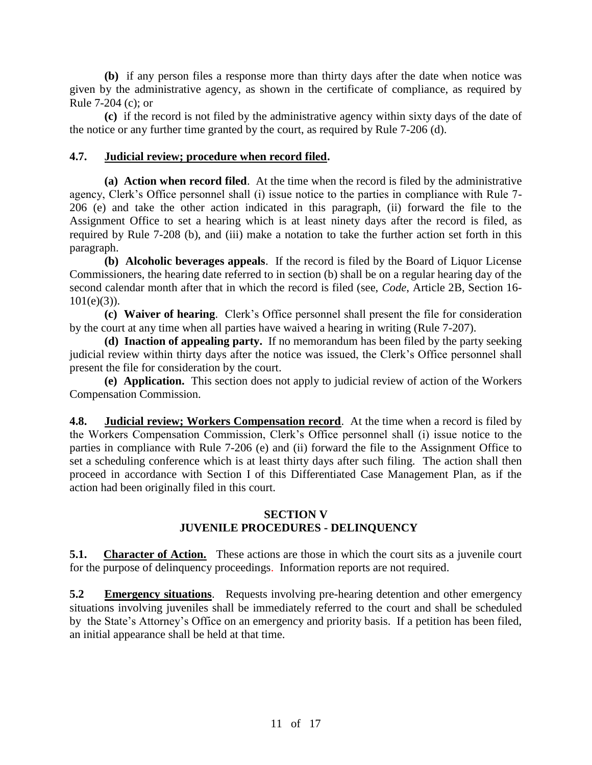**(b)** if any person files a response more than thirty days after the date when notice was given by the administrative agency, as shown in the certificate of compliance, as required by Rule 7-204 (c); or

**(c)** if the record is not filed by the administrative agency within sixty days of the date of the notice or any further time granted by the court, as required by Rule 7-206 (d).

## **4.7. Judicial review; procedure when record filed.**

**(a) Action when record filed**. At the time when the record is filed by the administrative agency, Clerk's Office personnel shall (i) issue notice to the parties in compliance with Rule 7- 206 (e) and take the other action indicated in this paragraph, (ii) forward the file to the Assignment Office to set a hearing which is at least ninety days after the record is filed, as required by Rule 7-208 (b), and (iii) make a notation to take the further action set forth in this paragraph.

**(b) Alcoholic beverages appeals**. If the record is filed by the Board of Liquor License Commissioners, the hearing date referred to in section (b) shall be on a regular hearing day of the second calendar month after that in which the record is filed (see, *Code*, Article 2B, Section 16-  $101(e)(3)$ ).

**(c) Waiver of hearing**. Clerk's Office personnel shall present the file for consideration by the court at any time when all parties have waived a hearing in writing (Rule 7-207).

**(d) Inaction of appealing party.** If no memorandum has been filed by the party seeking judicial review within thirty days after the notice was issued, the Clerk's Office personnel shall present the file for consideration by the court.

**(e) Application.** This section does not apply to judicial review of action of the Workers Compensation Commission.

**4.8. Judicial review; Workers Compensation record**. At the time when a record is filed by the Workers Compensation Commission, Clerk's Office personnel shall (i) issue notice to the parties in compliance with Rule 7-206 (e) and (ii) forward the file to the Assignment Office to set a scheduling conference which is at least thirty days after such filing. The action shall then proceed in accordance with Section I of this Differentiated Case Management Plan, as if the action had been originally filed in this court.

### **SECTION V JUVENILE PROCEDURES - DELINQUENCY**

**5.1.** Character of Action. These actions are those in which the court sits as a juvenile court for the purpose of delinquency proceedings. Information reports are not required.

**5.2 Emergency situations**. Requests involving pre-hearing detention and other emergency situations involving juveniles shall be immediately referred to the court and shall be scheduled by the State's Attorney's Office on an emergency and priority basis. If a petition has been filed, an initial appearance shall be held at that time.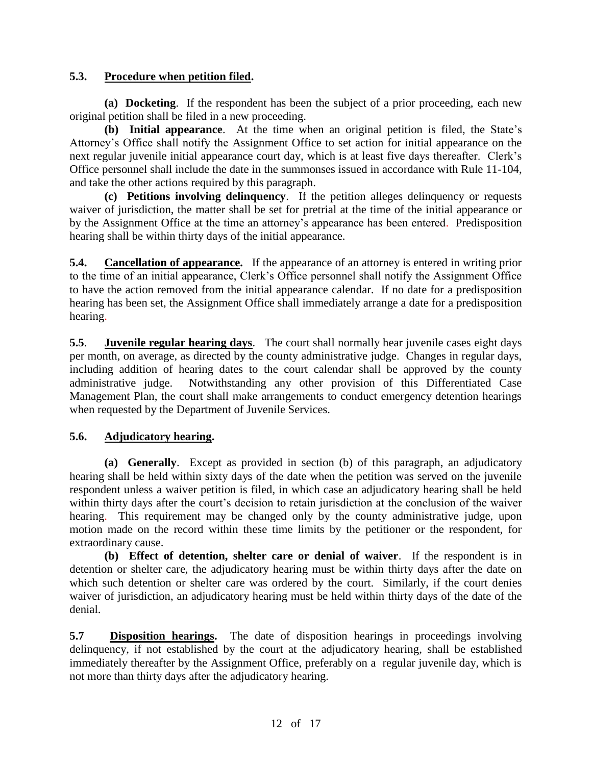# **5.3. Procedure when petition filed.**

**(a) Docketing**. If the respondent has been the subject of a prior proceeding, each new original petition shall be filed in a new proceeding.

**(b) Initial appearance**. At the time when an original petition is filed, the State's Attorney's Office shall notify the Assignment Office to set action for initial appearance on the next regular juvenile initial appearance court day, which is at least five days thereafter. Clerk's Office personnel shall include the date in the summonses issued in accordance with Rule 11-104, and take the other actions required by this paragraph.

**(c) Petitions involving delinquency**. If the petition alleges delinquency or requests waiver of jurisdiction, the matter shall be set for pretrial at the time of the initial appearance or by the Assignment Office at the time an attorney's appearance has been entered. Predisposition hearing shall be within thirty days of the initial appearance.

**5.4. Cancellation of appearance.** If the appearance of an attorney is entered in writing prior to the time of an initial appearance, Clerk's Office personnel shall notify the Assignment Office to have the action removed from the initial appearance calendar. If no date for a predisposition hearing has been set, the Assignment Office shall immediately arrange a date for a predisposition hearing.

**5.5**. **Juvenile regular hearing days**. The court shall normally hear juvenile cases eight days per month, on average, as directed by the county administrative judge. Changes in regular days, including addition of hearing dates to the court calendar shall be approved by the county administrative judge. Notwithstanding any other provision of this Differentiated Case Management Plan, the court shall make arrangements to conduct emergency detention hearings when requested by the Department of Juvenile Services.

# **5.6. Adjudicatory hearing.**

**(a) Generally**. Except as provided in section (b) of this paragraph, an adjudicatory hearing shall be held within sixty days of the date when the petition was served on the juvenile respondent unless a waiver petition is filed, in which case an adjudicatory hearing shall be held within thirty days after the court's decision to retain jurisdiction at the conclusion of the waiver hearing. This requirement may be changed only by the county administrative judge, upon motion made on the record within these time limits by the petitioner or the respondent, for extraordinary cause.

**(b) Effect of detention, shelter care or denial of waiver**. If the respondent is in detention or shelter care, the adjudicatory hearing must be within thirty days after the date on which such detention or shelter care was ordered by the court. Similarly, if the court denies waiver of jurisdiction, an adjudicatory hearing must be held within thirty days of the date of the denial.

**5.7 Disposition hearings.** The date of disposition hearings in proceedings involving delinquency, if not established by the court at the adjudicatory hearing, shall be established immediately thereafter by the Assignment Office, preferably on a regular juvenile day, which is not more than thirty days after the adjudicatory hearing.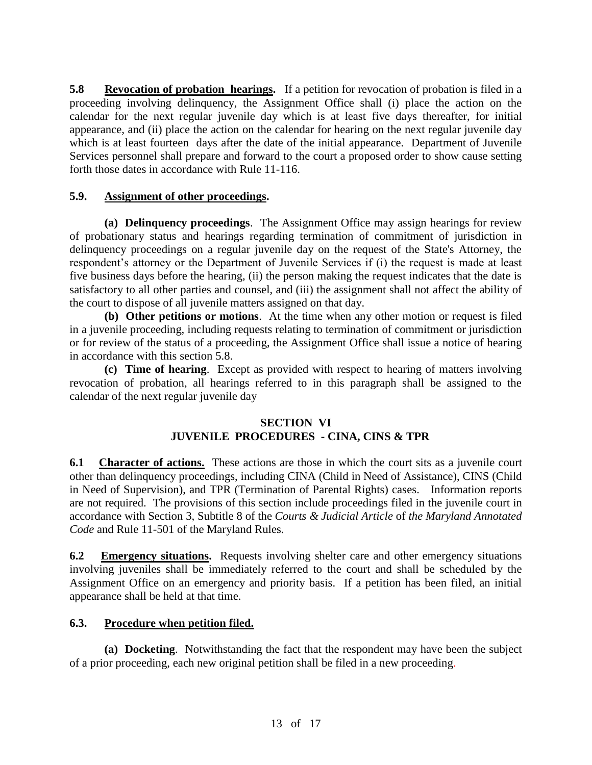**5.8 Revocation of probation hearings.** If a petition for revocation of probation is filed in a proceeding involving delinquency, the Assignment Office shall (i) place the action on the calendar for the next regular juvenile day which is at least five days thereafter, for initial appearance, and (ii) place the action on the calendar for hearing on the next regular juvenile day which is at least fourteen days after the date of the initial appearance. Department of Juvenile Services personnel shall prepare and forward to the court a proposed order to show cause setting forth those dates in accordance with Rule 11-116.

# **5.9. Assignment of other proceedings.**

**(a) Delinquency proceedings**. The Assignment Office may assign hearings for review of probationary status and hearings regarding termination of commitment of jurisdiction in delinquency proceedings on a regular juvenile day on the request of the State's Attorney, the respondent's attorney or the Department of Juvenile Services if (i) the request is made at least five business days before the hearing, (ii) the person making the request indicates that the date is satisfactory to all other parties and counsel, and (iii) the assignment shall not affect the ability of the court to dispose of all juvenile matters assigned on that day.

**(b) Other petitions or motions**. At the time when any other motion or request is filed in a juvenile proceeding, including requests relating to termination of commitment or jurisdiction or for review of the status of a proceeding, the Assignment Office shall issue a notice of hearing in accordance with this section 5.8.

**(c) Time of hearing**. Except as provided with respect to hearing of matters involving revocation of probation, all hearings referred to in this paragraph shall be assigned to the calendar of the next regular juvenile day

# **SECTION VI JUVENILE PROCEDURES - CINA, CINS & TPR**

**6.1 Character of actions.** These actions are those in which the court sits as a juvenile court other than delinquency proceedings, including CINA (Child in Need of Assistance), CINS (Child in Need of Supervision), and TPR (Termination of Parental Rights) cases. Information reports are not required. The provisions of this section include proceedings filed in the juvenile court in accordance with Section 3, Subtitle 8 of the *Courts & Judicial Article* of *the Maryland Annotated Code* and Rule 11-501 of the Maryland Rules.

**6.2 Emergency situations.** Requests involving shelter care and other emergency situations involving juveniles shall be immediately referred to the court and shall be scheduled by the Assignment Office on an emergency and priority basis. If a petition has been filed, an initial appearance shall be held at that time.

# **6.3. Procedure when petition filed.**

**(a) Docketing**. Notwithstanding the fact that the respondent may have been the subject of a prior proceeding, each new original petition shall be filed in a new proceeding.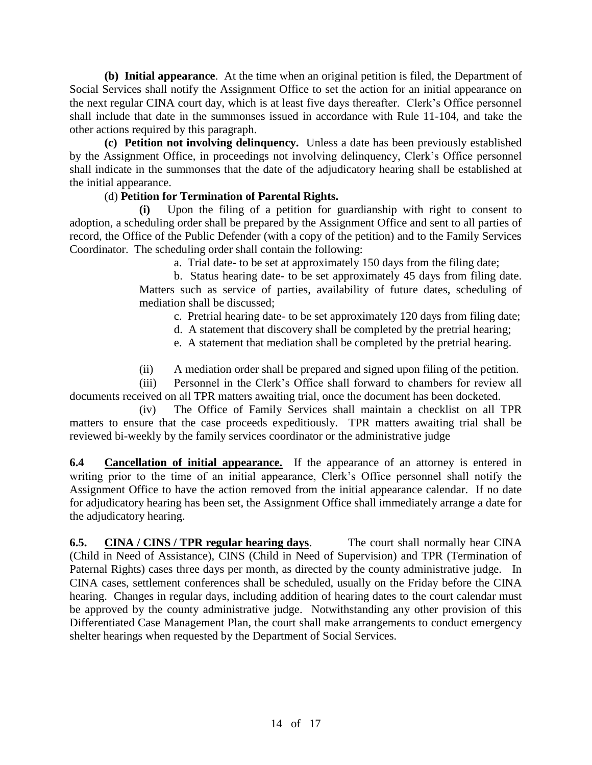**(b) Initial appearance**. At the time when an original petition is filed, the Department of Social Services shall notify the Assignment Office to set the action for an initial appearance on the next regular CINA court day, which is at least five days thereafter. Clerk's Office personnel shall include that date in the summonses issued in accordance with Rule 11-104, and take the other actions required by this paragraph.

**(c) Petition not involving delinquency.** Unless a date has been previously established by the Assignment Office, in proceedings not involving delinquency, Clerk's Office personnel shall indicate in the summonses that the date of the adjudicatory hearing shall be established at the initial appearance.

# (d) **Petition for Termination of Parental Rights.**

**(i)** Upon the filing of a petition for guardianship with right to consent to adoption, a scheduling order shall be prepared by the Assignment Office and sent to all parties of record, the Office of the Public Defender (with a copy of the petition) and to the Family Services Coordinator. The scheduling order shall contain the following:

a. Trial date- to be set at approximately 150 days from the filing date;

b. Status hearing date- to be set approximately 45 days from filing date. Matters such as service of parties, availability of future dates, scheduling of mediation shall be discussed;

- c. Pretrial hearing date- to be set approximately 120 days from filing date;
- d. A statement that discovery shall be completed by the pretrial hearing;
- e. A statement that mediation shall be completed by the pretrial hearing.
- (ii) A mediation order shall be prepared and signed upon filing of the petition.

(iii) Personnel in the Clerk's Office shall forward to chambers for review all documents received on all TPR matters awaiting trial, once the document has been docketed.

(iv) The Office of Family Services shall maintain a checklist on all TPR matters to ensure that the case proceeds expeditiously. TPR matters awaiting trial shall be reviewed bi-weekly by the family services coordinator or the administrative judge

**6.4 Cancellation of initial appearance.** If the appearance of an attorney is entered in writing prior to the time of an initial appearance. Clerk's Office personnel shall notify the Assignment Office to have the action removed from the initial appearance calendar. If no date for adjudicatory hearing has been set, the Assignment Office shall immediately arrange a date for the adjudicatory hearing.

**6.5. CINA / CINS / TPR regular hearing days**. The court shall normally hear CINA (Child in Need of Assistance), CINS (Child in Need of Supervision) and TPR (Termination of Paternal Rights) cases three days per month, as directed by the county administrative judge. In CINA cases, settlement conferences shall be scheduled, usually on the Friday before the CINA hearing. Changes in regular days, including addition of hearing dates to the court calendar must be approved by the county administrative judge. Notwithstanding any other provision of this Differentiated Case Management Plan, the court shall make arrangements to conduct emergency shelter hearings when requested by the Department of Social Services.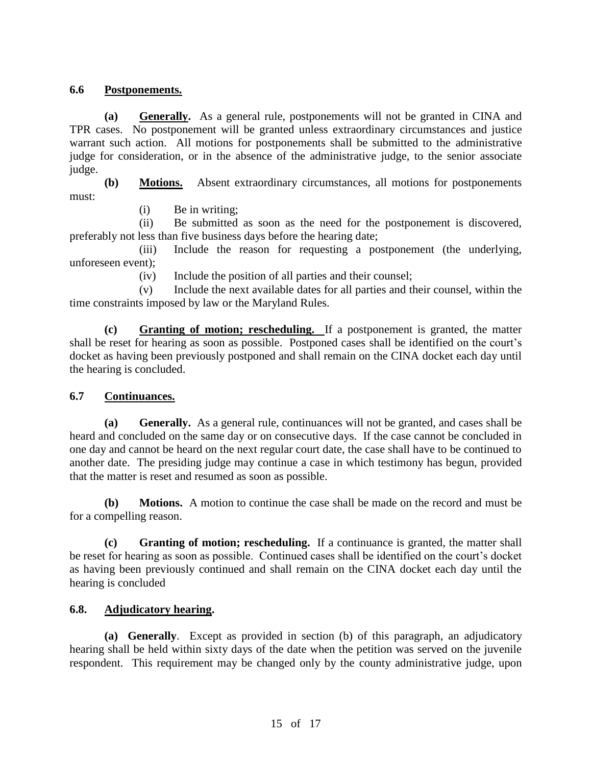# **6.6 Postponements.**

**(a) Generally.** As a general rule, postponements will not be granted in CINA and TPR cases. No postponement will be granted unless extraordinary circumstances and justice warrant such action. All motions for postponements shall be submitted to the administrative judge for consideration, or in the absence of the administrative judge, to the senior associate judge.

**(b) Motions.** Absent extraordinary circumstances, all motions for postponements must:

(i) Be in writing;

(ii) Be submitted as soon as the need for the postponement is discovered, preferably not less than five business days before the hearing date;

(iii) Include the reason for requesting a postponement (the underlying, unforeseen event);

(iv) Include the position of all parties and their counsel;

(v) Include the next available dates for all parties and their counsel, within the time constraints imposed by law or the Maryland Rules.

**(c) Granting of motion; rescheduling.** If a postponement is granted, the matter shall be reset for hearing as soon as possible. Postponed cases shall be identified on the court's docket as having been previously postponed and shall remain on the CINA docket each day until the hearing is concluded.

# **6.7 Continuances.**

**(a) Generally.** As a general rule, continuances will not be granted, and cases shall be heard and concluded on the same day or on consecutive days. If the case cannot be concluded in one day and cannot be heard on the next regular court date, the case shall have to be continued to another date. The presiding judge may continue a case in which testimony has begun, provided that the matter is reset and resumed as soon as possible.

**(b) Motions.** A motion to continue the case shall be made on the record and must be for a compelling reason.

**(c) Granting of motion; rescheduling.** If a continuance is granted, the matter shall be reset for hearing as soon as possible. Continued cases shall be identified on the court's docket as having been previously continued and shall remain on the CINA docket each day until the hearing is concluded

# **6.8. Adjudicatory hearing.**

**(a) Generally**. Except as provided in section (b) of this paragraph, an adjudicatory hearing shall be held within sixty days of the date when the petition was served on the juvenile respondent. This requirement may be changed only by the county administrative judge, upon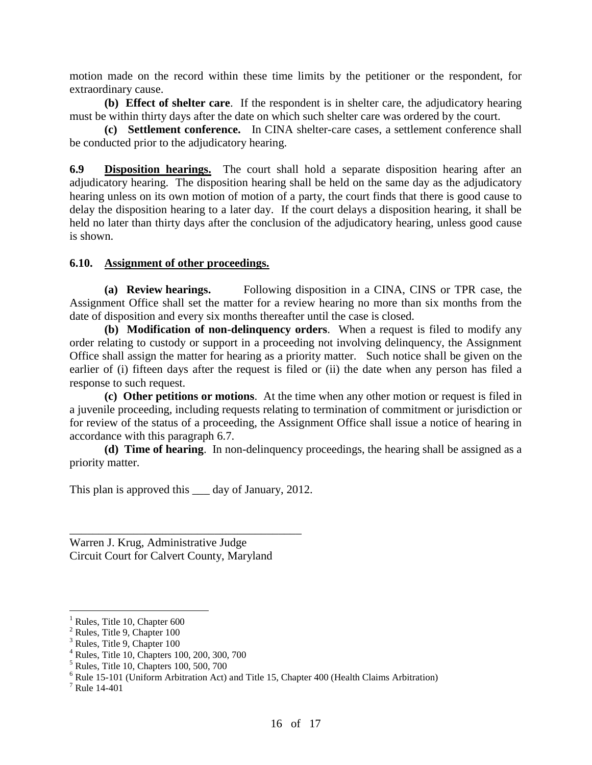motion made on the record within these time limits by the petitioner or the respondent, for extraordinary cause.

**(b) Effect of shelter care**. If the respondent is in shelter care, the adjudicatory hearing must be within thirty days after the date on which such shelter care was ordered by the court.

**(c) Settlement conference.** In CINA shelter-care cases, a settlement conference shall be conducted prior to the adjudicatory hearing.

**6.9 Disposition hearings.** The court shall hold a separate disposition hearing after an adjudicatory hearing. The disposition hearing shall be held on the same day as the adjudicatory hearing unless on its own motion of motion of a party, the court finds that there is good cause to delay the disposition hearing to a later day. If the court delays a disposition hearing, it shall be held no later than thirty days after the conclusion of the adjudicatory hearing, unless good cause is shown.

## **6.10. Assignment of other proceedings.**

**(a) Review hearings.** Following disposition in a CINA, CINS or TPR case, the Assignment Office shall set the matter for a review hearing no more than six months from the date of disposition and every six months thereafter until the case is closed.

**(b) Modification of non-delinquency orders**. When a request is filed to modify any order relating to custody or support in a proceeding not involving delinquency, the Assignment Office shall assign the matter for hearing as a priority matter. Such notice shall be given on the earlier of (i) fifteen days after the request is filed or (ii) the date when any person has filed a response to such request.

**(c) Other petitions or motions**. At the time when any other motion or request is filed in a juvenile proceeding, including requests relating to termination of commitment or jurisdiction or for review of the status of a proceeding, the Assignment Office shall issue a notice of hearing in accordance with this paragraph 6.7.

**(d) Time of hearing**. In non-delinquency proceedings, the hearing shall be assigned as a priority matter.

This plan is approved this day of January, 2012.

\_\_\_\_\_\_\_\_\_\_\_\_\_\_\_\_\_\_\_\_\_\_\_\_\_\_\_\_\_\_\_\_\_\_\_\_\_\_\_\_

Warren J. Krug, Administrative Judge Circuit Court for Calvert County, Maryland

 $\overline{a}$ 

Rules, Title 10, Chapter 600

<sup>&</sup>lt;sup>2</sup> Rules, Title 9, Chapter 100

<sup>&</sup>lt;sup>3</sup> Rules, Title 9, Chapter 100

<sup>4</sup> Rules, Title 10, Chapters 100, 200, 300, 700

 $<sup>5</sup>$  Rules, Title 10, Chapters 100, 500, 700</sup>

 $6$  Rule 15-101 (Uniform Arbitration Act) and Title 15, Chapter 400 (Health Claims Arbitration)

<sup>7</sup> Rule 14-401